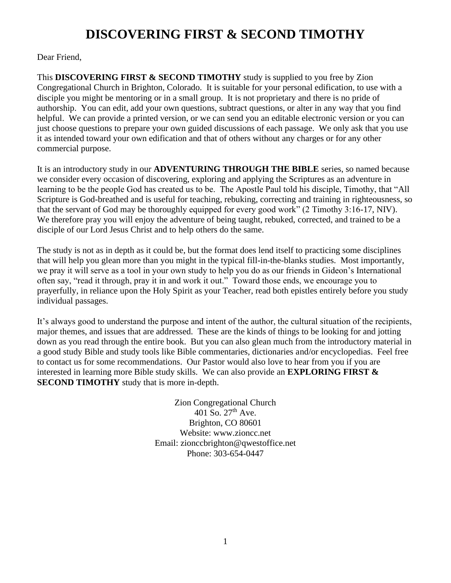# **DISCOVERING FIRST & SECOND TIMOTHY**

Dear Friend,

This **DISCOVERING FIRST & SECOND TIMOTHY** study is supplied to you free by Zion Congregational Church in Brighton, Colorado. It is suitable for your personal edification, to use with a disciple you might be mentoring or in a small group. It is not proprietary and there is no pride of authorship. You can edit, add your own questions, subtract questions, or alter in any way that you find helpful. We can provide a printed version, or we can send you an editable electronic version or you can just choose questions to prepare your own guided discussions of each passage. We only ask that you use it as intended toward your own edification and that of others without any charges or for any other commercial purpose.

It is an introductory study in our **ADVENTURING THROUGH THE BIBLE** series, so named because we consider every occasion of discovering, exploring and applying the Scriptures as an adventure in learning to be the people God has created us to be. The Apostle Paul told his disciple, Timothy, that "All Scripture is God-breathed and is useful for teaching, rebuking, correcting and training in righteousness, so that the servant of God may be thoroughly equipped for every good work" (2 Timothy 3:16-17, NIV). We therefore pray you will enjoy the adventure of being taught, rebuked, corrected, and trained to be a disciple of our Lord Jesus Christ and to help others do the same.

The study is not as in depth as it could be, but the format does lend itself to practicing some disciplines that will help you glean more than you might in the typical fill-in-the-blanks studies. Most importantly, we pray it will serve as a tool in your own study to help you do as our friends in Gideon's International often say, "read it through, pray it in and work it out." Toward those ends, we encourage you to prayerfully, in reliance upon the Holy Spirit as your Teacher, read both epistles entirely before you study individual passages.

It's always good to understand the purpose and intent of the author, the cultural situation of the recipients, major themes, and issues that are addressed. These are the kinds of things to be looking for and jotting down as you read through the entire book. But you can also glean much from the introductory material in a good study Bible and study tools like Bible commentaries, dictionaries and/or encyclopedias. Feel free to contact us for some recommendations. Our Pastor would also love to hear from you if you are interested in learning more Bible study skills. We can also provide an **EXPLORING FIRST & SECOND TIMOTHY** study that is more in-depth.

> Zion Congregational Church  $401$  So.  $27<sup>th</sup>$  Ave. Brighton, CO 80601 Website: [www.zioncc.net](http://www.zioncc.net/) Email: [zionccbrighton@qwestoffice.net](mailto:zionccbrighton@qwestoffice.net) Phone: 303-654-0447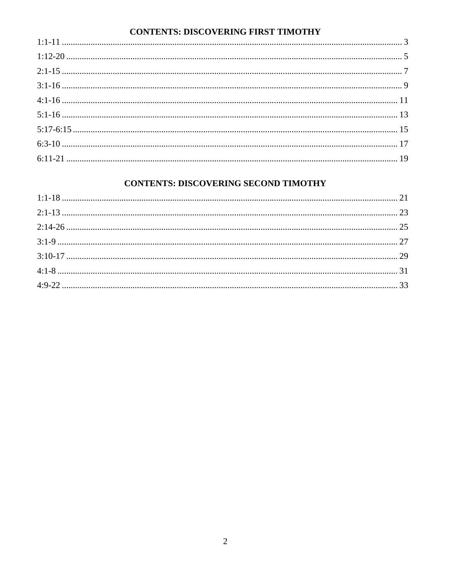# **CONTENTS: DISCOVERING FIRST TIMOTHY**

# **CONTENTS: DISCOVERING SECOND TIMOTHY**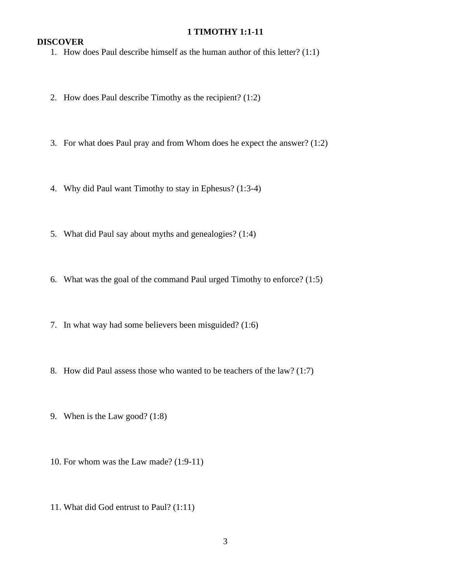#### **1 TIMOTHY 1:1-11**

## **DISCOVER**

1. How does Paul describe himself as the human author of this letter? (1:1)

- 2. How does Paul describe Timothy as the recipient? (1:2)
- 3. For what does Paul pray and from Whom does he expect the answer? (1:2)
- 4. Why did Paul want Timothy to stay in Ephesus? (1:3-4)
- 5. What did Paul say about myths and genealogies? (1:4)
- 6. What was the goal of the command Paul urged Timothy to enforce? (1:5)
- 7. In what way had some believers been misguided? (1:6)
- 8. How did Paul assess those who wanted to be teachers of the law? (1:7)
- 9. When is the Law good? (1:8)
- 10. For whom was the Law made? (1:9-11)
- 11. What did God entrust to Paul? (1:11)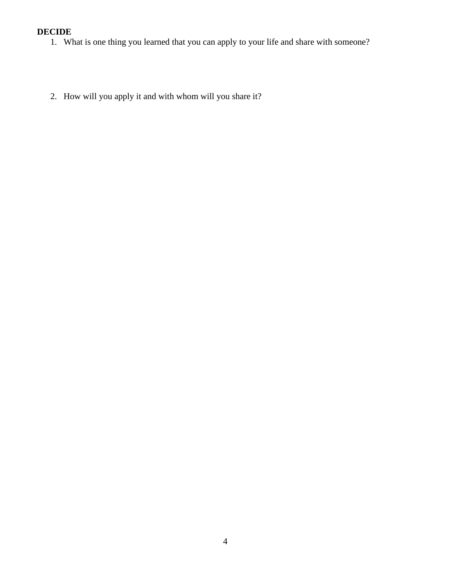- 1. What is one thing you learned that you can apply to your life and share with someone?
- 2. How will you apply it and with whom will you share it?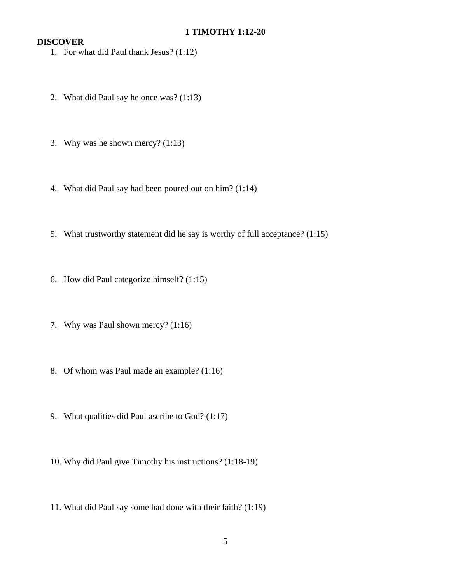- 1. For what did Paul thank Jesus? (1:12)
- 2. What did Paul say he once was? (1:13)
- 3. Why was he shown mercy? (1:13)
- 4. What did Paul say had been poured out on him? (1:14)
- 5. What trustworthy statement did he say is worthy of full acceptance? (1:15)
- 6. How did Paul categorize himself? (1:15)
- 7. Why was Paul shown mercy? (1:16)
- 8. Of whom was Paul made an example? (1:16)
- 9. What qualities did Paul ascribe to God? (1:17)
- 10. Why did Paul give Timothy his instructions? (1:18-19)
- 11. What did Paul say some had done with their faith? (1:19)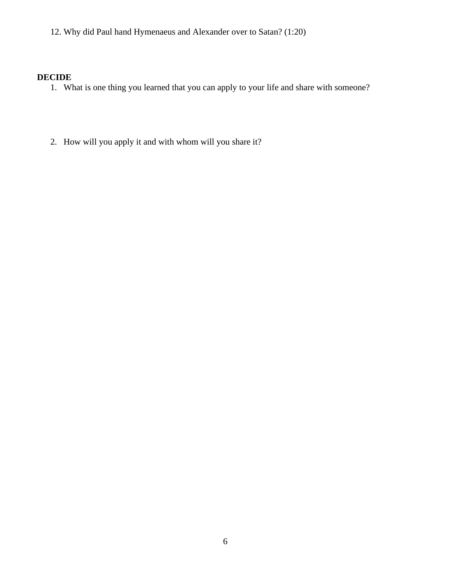12. Why did Paul hand Hymenaeus and Alexander over to Satan? (1:20)

- 1. What is one thing you learned that you can apply to your life and share with someone?
- 2. How will you apply it and with whom will you share it?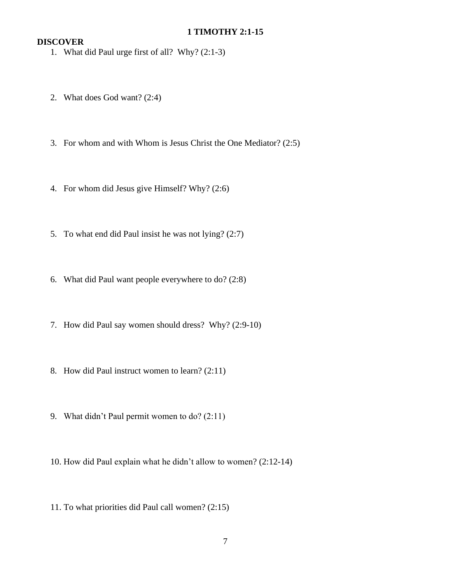## **1 TIMOTHY 2:1-15**

- 1. What did Paul urge first of all? Why? (2:1-3)
- 2. What does God want? (2:4)
- 3. For whom and with Whom is Jesus Christ the One Mediator? (2:5)
- 4. For whom did Jesus give Himself? Why? (2:6)
- 5. To what end did Paul insist he was not lying? (2:7)
- 6. What did Paul want people everywhere to do? (2:8)
- 7. How did Paul say women should dress? Why? (2:9-10)
- 8. How did Paul instruct women to learn? (2:11)
- 9. What didn't Paul permit women to do? (2:11)
- 10. How did Paul explain what he didn't allow to women? (2:12-14)
- 11. To what priorities did Paul call women? (2:15)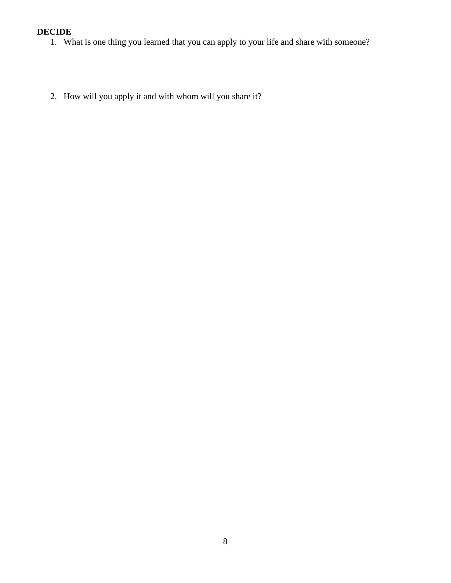- 1. What is one thing you learned that you can apply to your life and share with someone?
- 2. How will you apply it and with whom will you share it?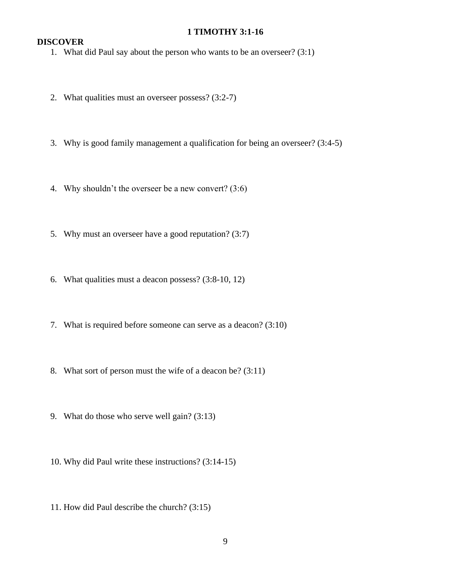#### **1 TIMOTHY 3:1-16**

## **DISCOVER**

1. What did Paul say about the person who wants to be an overseer? (3:1)

- 2. What qualities must an overseer possess? (3:2-7)
- 3. Why is good family management a qualification for being an overseer? (3:4-5)
- 4. Why shouldn't the overseer be a new convert? (3:6)
- 5. Why must an overseer have a good reputation? (3:7)
- 6. What qualities must a deacon possess? (3:8-10, 12)
- 7. What is required before someone can serve as a deacon? (3:10)
- 8. What sort of person must the wife of a deacon be? (3:11)
- 9. What do those who serve well gain? (3:13)
- 10. Why did Paul write these instructions? (3:14-15)
- 11. How did Paul describe the church? (3:15)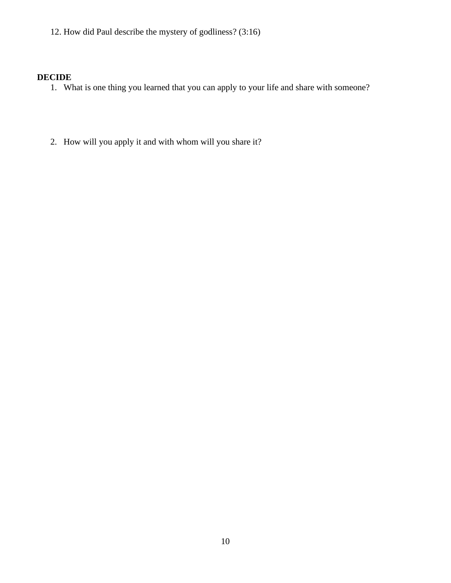12. How did Paul describe the mystery of godliness? (3:16)

- 1. What is one thing you learned that you can apply to your life and share with someone?
- 2. How will you apply it and with whom will you share it?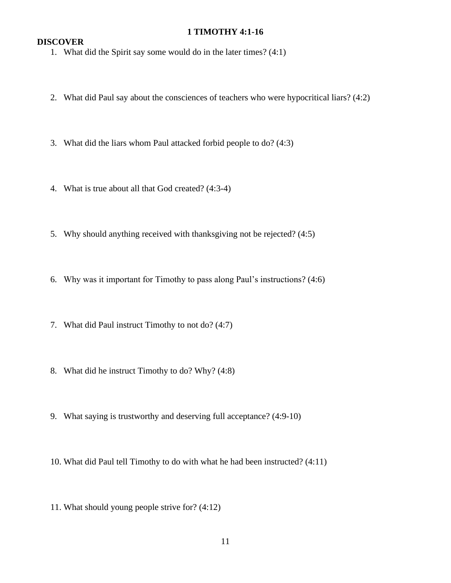#### **1 TIMOTHY 4:1-16**

- 1. What did the Spirit say some would do in the later times? (4:1)
- 2. What did Paul say about the consciences of teachers who were hypocritical liars? (4:2)
- 3. What did the liars whom Paul attacked forbid people to do? (4:3)
- 4. What is true about all that God created? (4:3-4)
- 5. Why should anything received with thanksgiving not be rejected? (4:5)
- 6. Why was it important for Timothy to pass along Paul's instructions? (4:6)
- 7. What did Paul instruct Timothy to not do? (4:7)
- 8. What did he instruct Timothy to do? Why? (4:8)
- 9. What saying is trustworthy and deserving full acceptance? (4:9-10)
- 10. What did Paul tell Timothy to do with what he had been instructed? (4:11)
- 11. What should young people strive for? (4:12)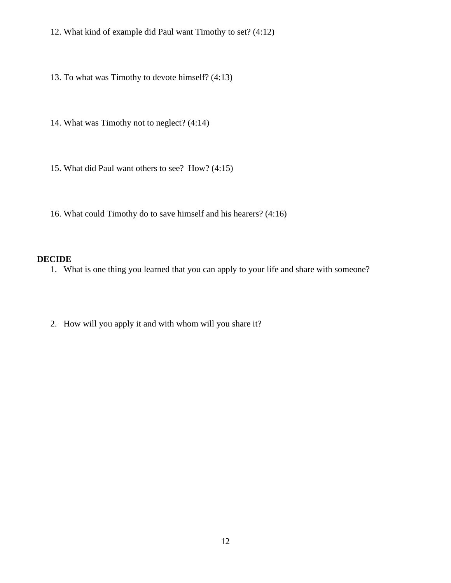12. What kind of example did Paul want Timothy to set? (4:12)

13. To what was Timothy to devote himself? (4:13)

14. What was Timothy not to neglect? (4:14)

15. What did Paul want others to see? How? (4:15)

16. What could Timothy do to save himself and his hearers? (4:16)

#### **DECIDE**

1. What is one thing you learned that you can apply to your life and share with someone?

2. How will you apply it and with whom will you share it?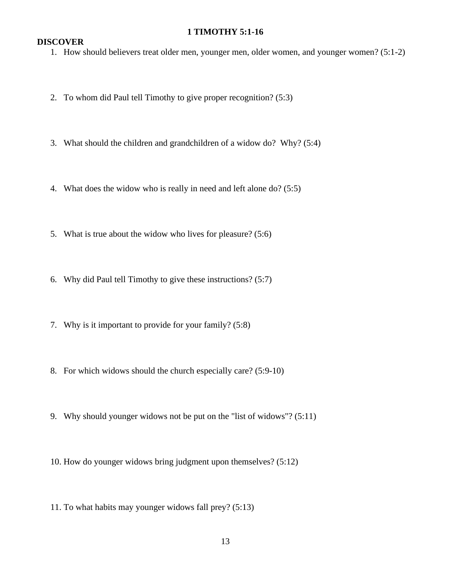#### **1 TIMOTHY 5:1-16**

## **DISCOVER**

1. How should believers treat older men, younger men, older women, and younger women? (5:1-2)

- 2. To whom did Paul tell Timothy to give proper recognition? (5:3)
- 3. What should the children and grandchildren of a widow do? Why? (5:4)
- 4. What does the widow who is really in need and left alone do? (5:5)
- 5. What is true about the widow who lives for pleasure? (5:6)
- 6. Why did Paul tell Timothy to give these instructions? (5:7)
- 7. Why is it important to provide for your family? (5:8)
- 8. For which widows should the church especially care? (5:9-10)
- 9. Why should younger widows not be put on the "list of widows"? (5:11)
- 10. How do younger widows bring judgment upon themselves? (5:12)
- 11. To what habits may younger widows fall prey? (5:13)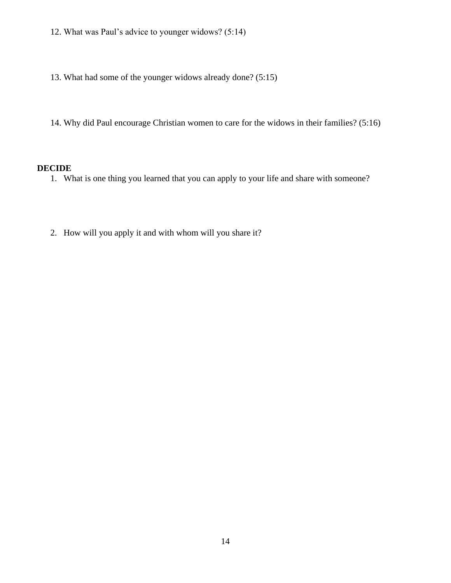- 12. What was Paul's advice to younger widows? (5:14)
- 13. What had some of the younger widows already done? (5:15)
- 14. Why did Paul encourage Christian women to care for the widows in their families? (5:16)

- 1. What is one thing you learned that you can apply to your life and share with someone?
- 2. How will you apply it and with whom will you share it?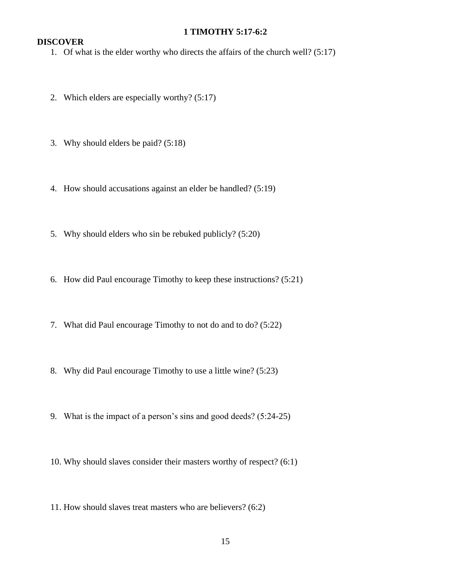## **1 TIMOTHY 5:17-6:2**

## **DISCOVER**

1. Of what is the elder worthy who directs the affairs of the church well? (5:17)

- 2. Which elders are especially worthy? (5:17)
- 3. Why should elders be paid? (5:18)
- 4. How should accusations against an elder be handled? (5:19)
- 5. Why should elders who sin be rebuked publicly? (5:20)
- 6. How did Paul encourage Timothy to keep these instructions? (5:21)
- 7. What did Paul encourage Timothy to not do and to do? (5:22)
- 8. Why did Paul encourage Timothy to use a little wine? (5:23)
- 9. What is the impact of a person's sins and good deeds? (5:24-25)
- 10. Why should slaves consider their masters worthy of respect? (6:1)
- 11. How should slaves treat masters who are believers? (6:2)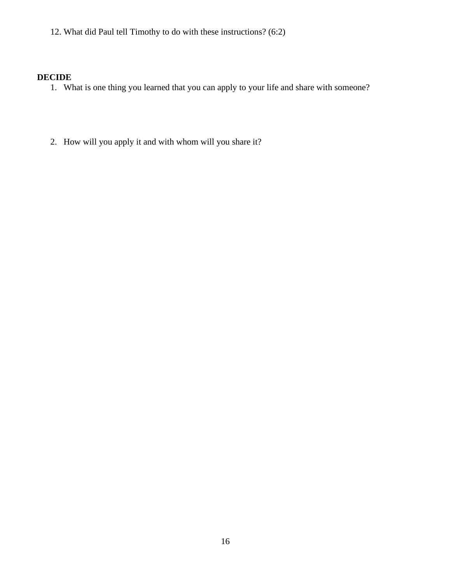12. What did Paul tell Timothy to do with these instructions? (6:2)

- 1. What is one thing you learned that you can apply to your life and share with someone?
- 2. How will you apply it and with whom will you share it?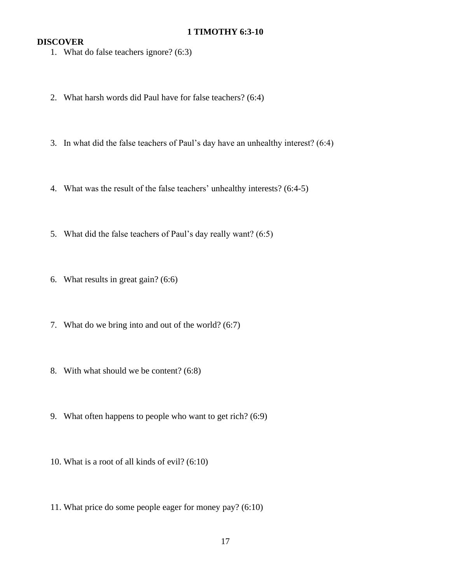## **1 TIMOTHY 6:3-10**

- 1. What do false teachers ignore? (6:3)
- 2. What harsh words did Paul have for false teachers? (6:4)
- 3. In what did the false teachers of Paul's day have an unhealthy interest? (6:4)
- 4. What was the result of the false teachers' unhealthy interests? (6:4-5)
- 5. What did the false teachers of Paul's day really want? (6:5)
- 6. What results in great gain? (6:6)
- 7. What do we bring into and out of the world? (6:7)
- 8. With what should we be content? (6:8)
- 9. What often happens to people who want to get rich? (6:9)
- 10. What is a root of all kinds of evil? (6:10)
- 11. What price do some people eager for money pay? (6:10)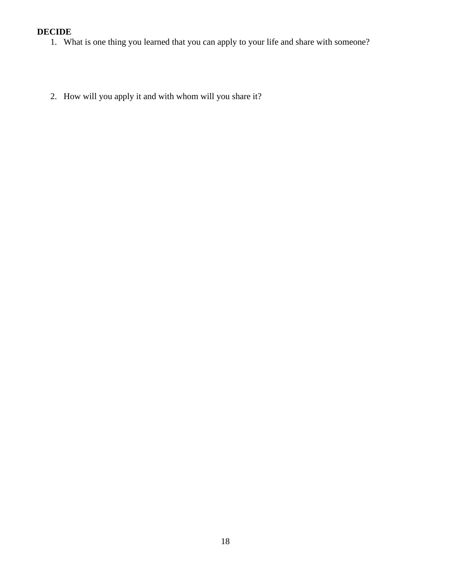- 1. What is one thing you learned that you can apply to your life and share with someone?
- 2. How will you apply it and with whom will you share it?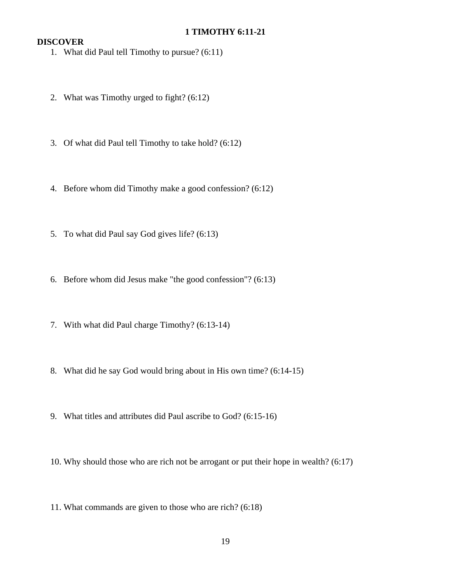## **1 TIMOTHY 6:11-21**

- 1. What did Paul tell Timothy to pursue? (6:11)
- 2. What was Timothy urged to fight? (6:12)
- 3. Of what did Paul tell Timothy to take hold? (6:12)
- 4. Before whom did Timothy make a good confession? (6:12)
- 5. To what did Paul say God gives life? (6:13)
- 6. Before whom did Jesus make "the good confession"? (6:13)
- 7. With what did Paul charge Timothy? (6:13-14)
- 8. What did he say God would bring about in His own time? (6:14-15)
- 9. What titles and attributes did Paul ascribe to God? (6:15-16)
- 10. Why should those who are rich not be arrogant or put their hope in wealth? (6:17)
- 11. What commands are given to those who are rich? (6:18)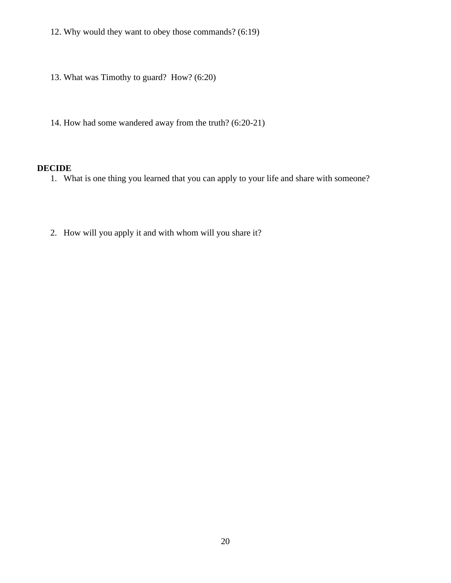- 12. Why would they want to obey those commands? (6:19)
- 13. What was Timothy to guard? How? (6:20)
- 14. How had some wandered away from the truth? (6:20-21)

- 1. What is one thing you learned that you can apply to your life and share with someone?
- 2. How will you apply it and with whom will you share it?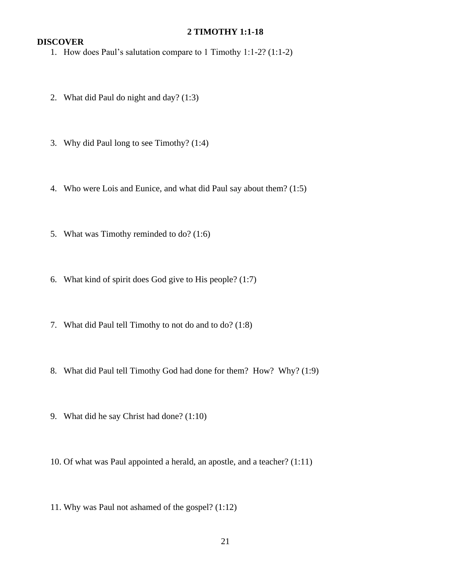#### **2 TIMOTHY 1:1-18**

- 1. How does Paul's salutation compare to 1 Timothy 1:1-2? (1:1-2)
- 2. What did Paul do night and day? (1:3)
- 3. Why did Paul long to see Timothy? (1:4)
- 4. Who were Lois and Eunice, and what did Paul say about them? (1:5)
- 5. What was Timothy reminded to do? (1:6)
- 6. What kind of spirit does God give to His people? (1:7)
- 7. What did Paul tell Timothy to not do and to do? (1:8)
- 8. What did Paul tell Timothy God had done for them? How? Why? (1:9)
- 9. What did he say Christ had done? (1:10)
- 10. Of what was Paul appointed a herald, an apostle, and a teacher? (1:11)
- 11. Why was Paul not ashamed of the gospel? (1:12)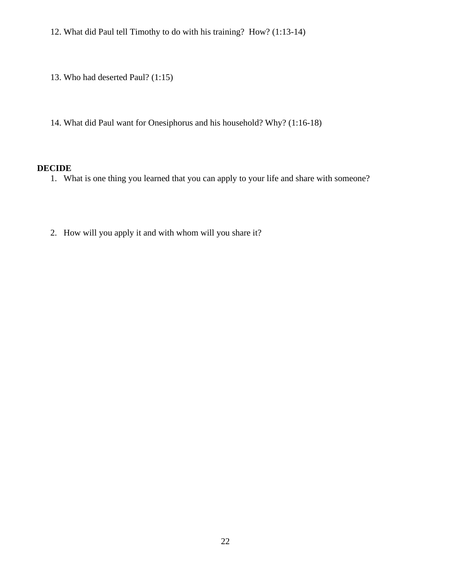12. What did Paul tell Timothy to do with his training? How? (1:13-14)

13. Who had deserted Paul? (1:15)

14. What did Paul want for Onesiphorus and his household? Why? (1:16-18)

# **DECIDE**

1. What is one thing you learned that you can apply to your life and share with someone?

2. How will you apply it and with whom will you share it?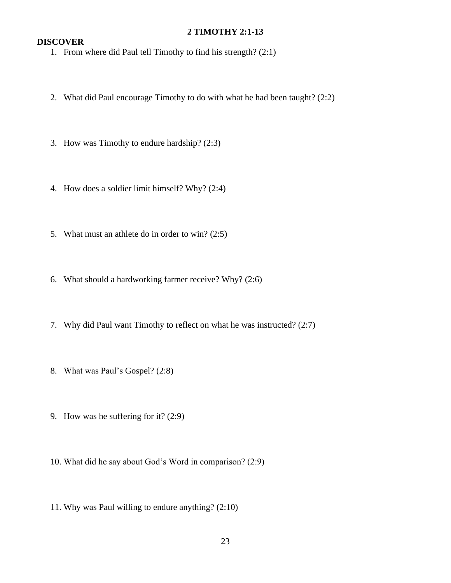#### **2 TIMOTHY 2:1-13**

## **DISCOVER**

1. From where did Paul tell Timothy to find his strength? (2:1)

- 2. What did Paul encourage Timothy to do with what he had been taught? (2:2)
- 3. How was Timothy to endure hardship? (2:3)
- 4. How does a soldier limit himself? Why? (2:4)
- 5. What must an athlete do in order to win? (2:5)
- 6. What should a hardworking farmer receive? Why? (2:6)
- 7. Why did Paul want Timothy to reflect on what he was instructed? (2:7)
- 8. What was Paul's Gospel? (2:8)
- 9. How was he suffering for it? (2:9)
- 10. What did he say about God's Word in comparison? (2:9)
- 11. Why was Paul willing to endure anything? (2:10)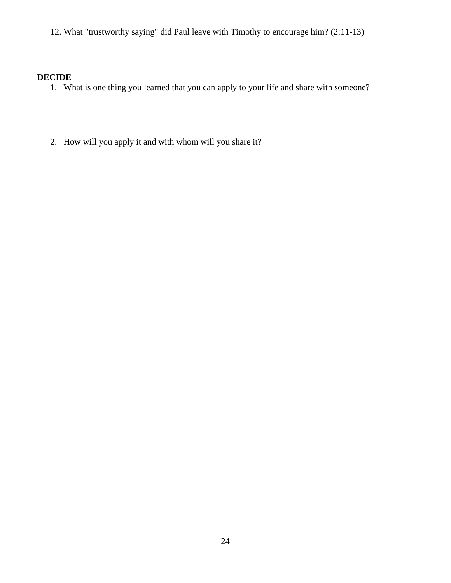12. What "trustworthy saying" did Paul leave with Timothy to encourage him? (2:11-13)

- 1. What is one thing you learned that you can apply to your life and share with someone?
- 2. How will you apply it and with whom will you share it?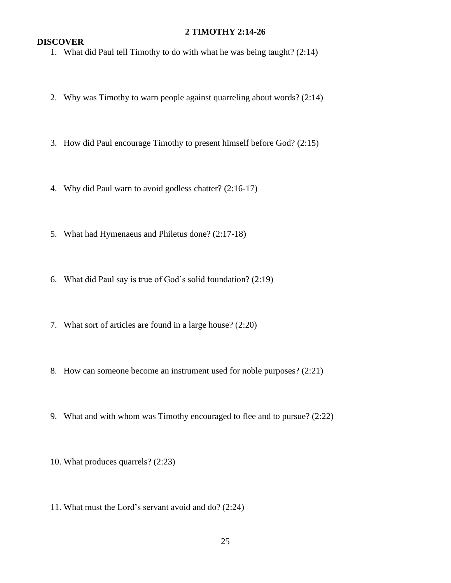#### **2 TIMOTHY 2:14-26**

## **DISCOVER**

1. What did Paul tell Timothy to do with what he was being taught? (2:14)

- 2. Why was Timothy to warn people against quarreling about words? (2:14)
- 3. How did Paul encourage Timothy to present himself before God? (2:15)
- 4. Why did Paul warn to avoid godless chatter? (2:16-17)
- 5. What had Hymenaeus and Philetus done? (2:17-18)
- 6. What did Paul say is true of God's solid foundation? (2:19)
- 7. What sort of articles are found in a large house? (2:20)
- 8. How can someone become an instrument used for noble purposes? (2:21)
- 9. What and with whom was Timothy encouraged to flee and to pursue? (2:22)
- 10. What produces quarrels? (2:23)
- 11. What must the Lord's servant avoid and do? (2:24)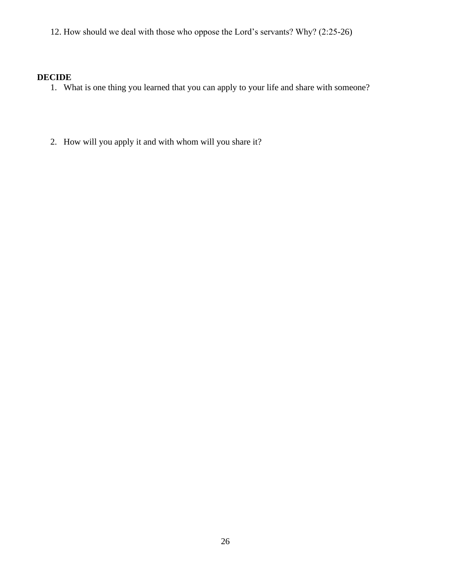12. How should we deal with those who oppose the Lord's servants? Why? (2:25-26)

- 1. What is one thing you learned that you can apply to your life and share with someone?
- 2. How will you apply it and with whom will you share it?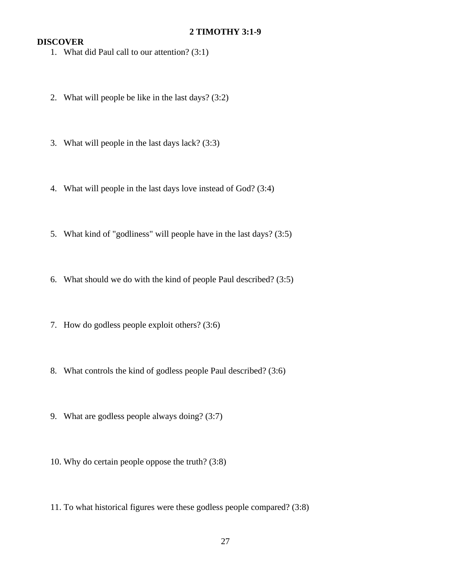- 1. What did Paul call to our attention? (3:1)
- 2. What will people be like in the last days? (3:2)
- 3. What will people in the last days lack? (3:3)
- 4. What will people in the last days love instead of God? (3:4)
- 5. What kind of "godliness" will people have in the last days? (3:5)
- 6. What should we do with the kind of people Paul described? (3:5)
- 7. How do godless people exploit others? (3:6)
- 8. What controls the kind of godless people Paul described? (3:6)
- 9. What are godless people always doing? (3:7)
- 10. Why do certain people oppose the truth? (3:8)
- 11. To what historical figures were these godless people compared? (3:8)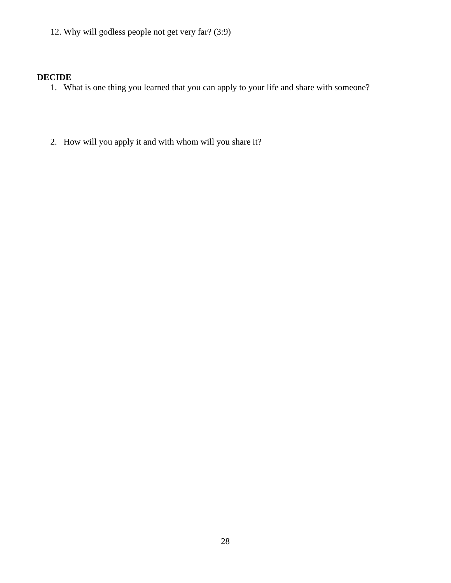12. Why will godless people not get very far? (3:9)

- 1. What is one thing you learned that you can apply to your life and share with someone?
- 2. How will you apply it and with whom will you share it?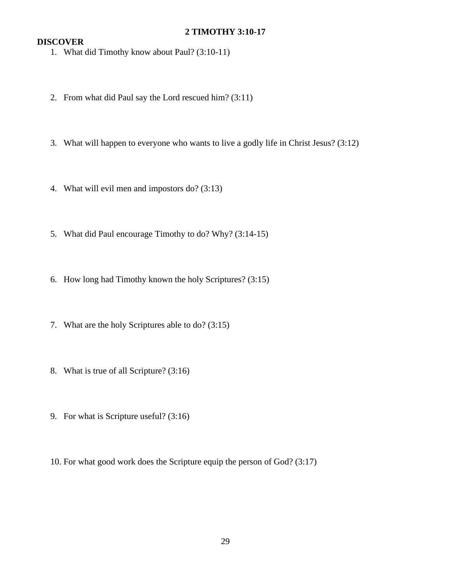## **2 TIMOTHY 3:10-17**

- 1. What did Timothy know about Paul? (3:10-11)
- 2. From what did Paul say the Lord rescued him? (3:11)
- 3. What will happen to everyone who wants to live a godly life in Christ Jesus? (3:12)
- 4. What will evil men and impostors do? (3:13)
- 5. What did Paul encourage Timothy to do? Why? (3:14-15)
- 6. How long had Timothy known the holy Scriptures? (3:15)
- 7. What are the holy Scriptures able to do? (3:15)
- 8. What is true of all Scripture? (3:16)
- 9. For what is Scripture useful? (3:16)
- 10. For what good work does the Scripture equip the person of God? (3:17)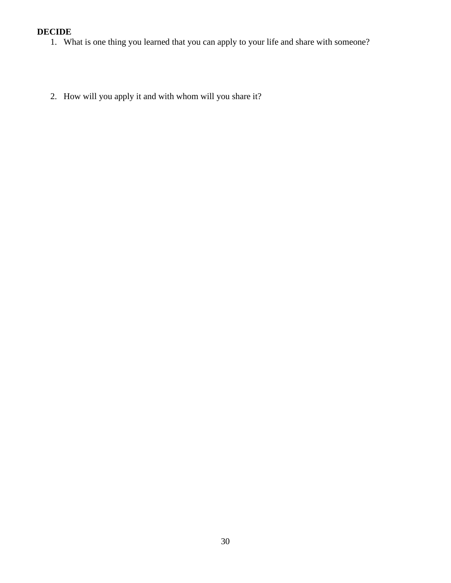- 1. What is one thing you learned that you can apply to your life and share with someone?
- 2. How will you apply it and with whom will you share it?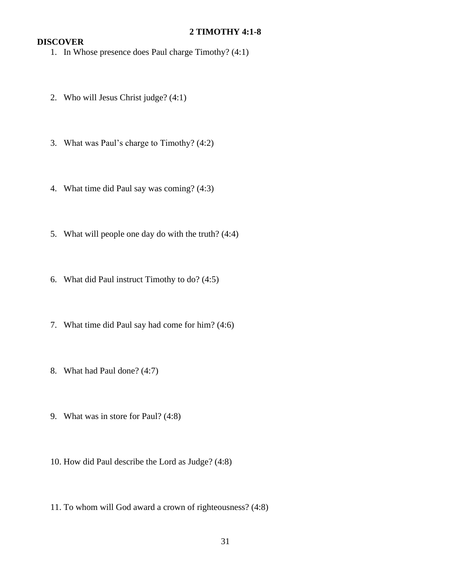## **2 TIMOTHY 4:1-8**

- 1. In Whose presence does Paul charge Timothy? (4:1)
- 2. Who will Jesus Christ judge? (4:1)
- 3. What was Paul's charge to Timothy? (4:2)
- 4. What time did Paul say was coming? (4:3)
- 5. What will people one day do with the truth? (4:4)
- 6. What did Paul instruct Timothy to do? (4:5)
- 7. What time did Paul say had come for him? (4:6)
- 8. What had Paul done? (4:7)
- 9. What was in store for Paul? (4:8)
- 10. How did Paul describe the Lord as Judge? (4:8)
- 11. To whom will God award a crown of righteousness? (4:8)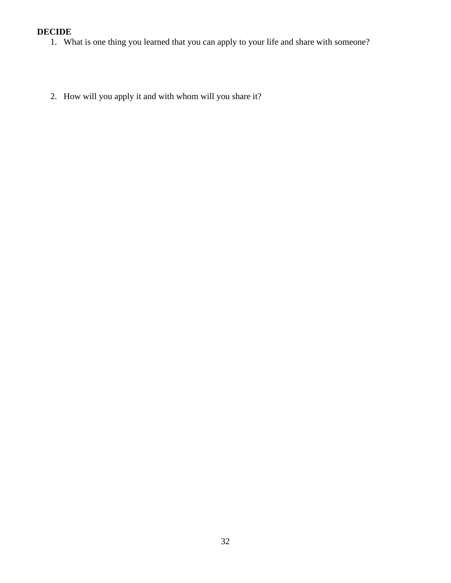- 1. What is one thing you learned that you can apply to your life and share with someone?
- 2. How will you apply it and with whom will you share it?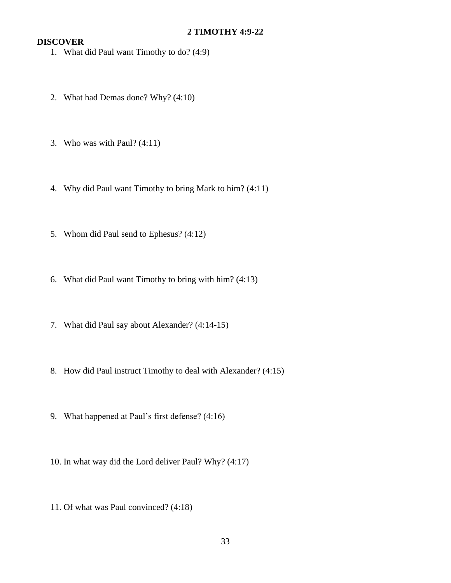## **2 TIMOTHY 4:9-22**

- 1. What did Paul want Timothy to do? (4:9)
- 2. What had Demas done? Why? (4:10)
- 3. Who was with Paul? (4:11)
- 4. Why did Paul want Timothy to bring Mark to him? (4:11)
- 5. Whom did Paul send to Ephesus? (4:12)
- 6. What did Paul want Timothy to bring with him? (4:13)
- 7. What did Paul say about Alexander? (4:14-15)
- 8. How did Paul instruct Timothy to deal with Alexander? (4:15)
- 9. What happened at Paul's first defense? (4:16)
- 10. In what way did the Lord deliver Paul? Why? (4:17)
- 11. Of what was Paul convinced? (4:18)